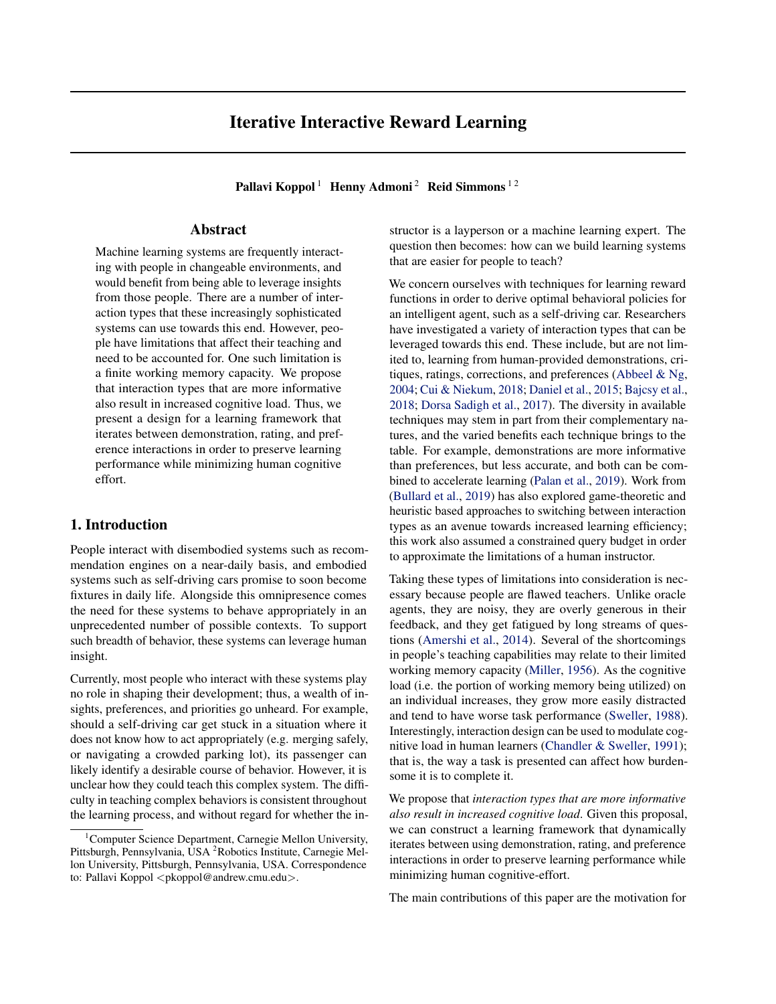# Iterative Interactive Reward Learning

Pallavi Koppol<sup>1</sup> Henny Admoni<sup>2</sup> Reid Simmons<sup>12</sup>

# Abstract

Machine learning systems are frequently interacting with people in changeable environments, and would benefit from being able to leverage insights from those people. There are a number of interaction types that these increasingly sophisticated systems can use towards this end. However, people have limitations that affect their teaching and need to be accounted for. One such limitation is a finite working memory capacity. We propose that interaction types that are more informative also result in increased cognitive load. Thus, we present a design for a learning framework that iterates between demonstration, rating, and preference interactions in order to preserve learning performance while minimizing human cognitive effort.

### 1. Introduction

People interact with disembodied systems such as recommendation engines on a near-daily basis, and embodied systems such as self-driving cars promise to soon become fixtures in daily life. Alongside this omnipresence comes the need for these systems to behave appropriately in an unprecedented number of possible contexts. To support such breadth of behavior, these systems can leverage human insight.

Currently, most people who interact with these systems play no role in shaping their development; thus, a wealth of insights, preferences, and priorities go unheard. For example, should a self-driving car get stuck in a situation where it does not know how to act appropriately (e.g. merging safely, or navigating a crowded parking lot), its passenger can likely identify a desirable course of behavior. However, it is unclear how they could teach this complex system. The difficulty in teaching complex behaviors is consistent throughout the learning process, and without regard for whether the instructor is a layperson or a machine learning expert. The question then becomes: how can we build learning systems that are easier for people to teach?

We concern ourselves with techniques for learning reward functions in order to derive optimal behavioral policies for an intelligent agent, such as a self-driving car. Researchers have investigated a variety of interaction types that can be leveraged towards this end. These include, but are not limited to, learning from human-provided demonstrations, critiques, ratings, corrections, and preferences [\(Abbeel & Ng,](#page-3-0) [2004;](#page-3-0) [Cui & Niekum,](#page-4-0) [2018;](#page-4-0) [Daniel et al.,](#page-4-0) [2015;](#page-4-0) [Bajcsy et al.,](#page-3-0) [2018;](#page-3-0) [Dorsa Sadigh et al.,](#page-4-0) [2017\)](#page-4-0). The diversity in available techniques may stem in part from their complementary natures, and the varied benefits each technique brings to the table. For example, demonstrations are more informative than preferences, but less accurate, and both can be combined to accelerate learning [\(Palan et al.,](#page-4-0) [2019\)](#page-4-0). Work from [\(Bullard et al.,](#page-4-0) [2019\)](#page-4-0) has also explored game-theoretic and heuristic based approaches to switching between interaction types as an avenue towards increased learning efficiency; this work also assumed a constrained query budget in order to approximate the limitations of a human instructor.

Taking these types of limitations into consideration is necessary because people are flawed teachers. Unlike oracle agents, they are noisy, they are overly generous in their feedback, and they get fatigued by long streams of questions [\(Amershi et al.,](#page-3-0) [2014\)](#page-3-0). Several of the shortcomings in people's teaching capabilities may relate to their limited working memory capacity [\(Miller,](#page-4-0) [1956\)](#page-4-0). As the cognitive load (i.e. the portion of working memory being utilized) on an individual increases, they grow more easily distracted and tend to have worse task performance [\(Sweller,](#page-4-0) [1988\)](#page-4-0). Interestingly, interaction design can be used to modulate cognitive load in human learners [\(Chandler & Sweller,](#page-4-0) [1991\)](#page-4-0); that is, the way a task is presented can affect how burdensome it is to complete it.

We propose that *interaction types that are more informative also result in increased cognitive load*. Given this proposal, we can construct a learning framework that dynamically iterates between using demonstration, rating, and preference interactions in order to preserve learning performance while minimizing human cognitive-effort.

The main contributions of this paper are the motivation for

<sup>&</sup>lt;sup>1</sup>Computer Science Department, Carnegie Mellon University, Pittsburgh, Pennsylvania, USA <sup>2</sup>Robotics Institute, Carnegie Mellon University, Pittsburgh, Pennsylvania, USA. Correspondence to: Pallavi Koppol <pkoppol@andrew.cmu.edu>.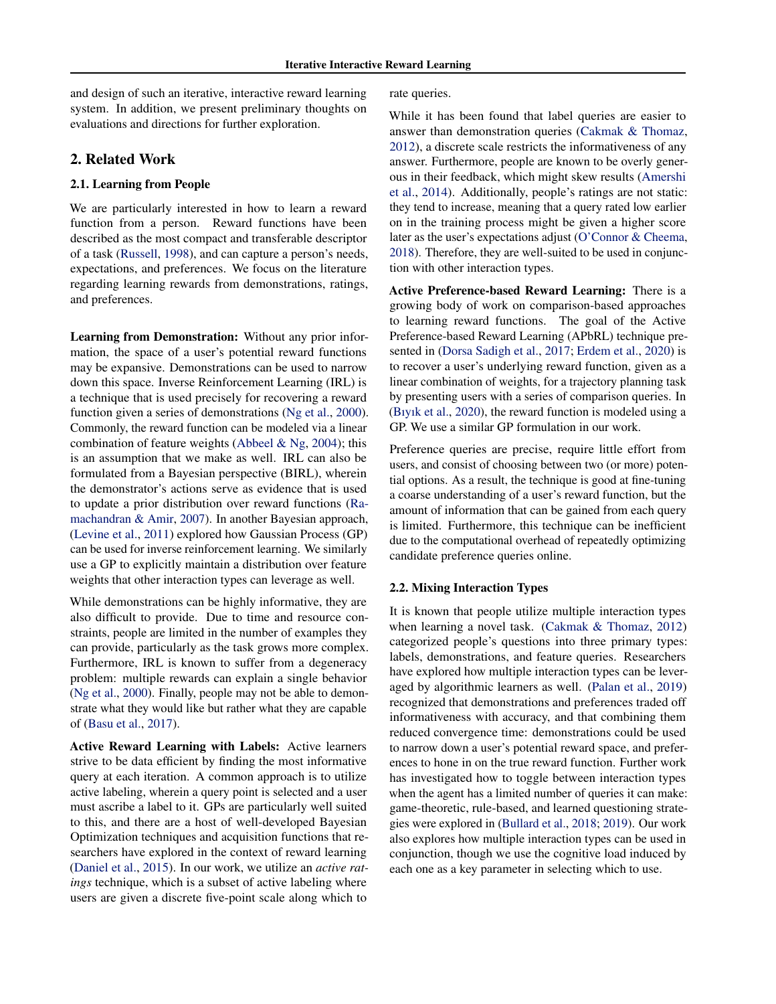and design of such an iterative, interactive reward learning system. In addition, we present preliminary thoughts on evaluations and directions for further exploration.

### 2. Related Work

#### 2.1. Learning from People

We are particularly interested in how to learn a reward function from a person. Reward functions have been described as the most compact and transferable descriptor of a task [\(Russell,](#page-4-0) [1998\)](#page-4-0), and can capture a person's needs, expectations, and preferences. We focus on the literature regarding learning rewards from demonstrations, ratings, and preferences.

Learning from Demonstration: Without any prior information, the space of a user's potential reward functions may be expansive. Demonstrations can be used to narrow down this space. Inverse Reinforcement Learning (IRL) is a technique that is used precisely for recovering a reward function given a series of demonstrations [\(Ng et al.,](#page-4-0) [2000\)](#page-4-0). Commonly, the reward function can be modeled via a linear combination of feature weights [\(Abbeel & Ng,](#page-3-0) [2004\)](#page-3-0); this is an assumption that we make as well. IRL can also be formulated from a Bayesian perspective (BIRL), wherein the demonstrator's actions serve as evidence that is used to update a prior distribution over reward functions [\(Ra](#page-4-0)[machandran & Amir,](#page-4-0) [2007\)](#page-4-0). In another Bayesian approach, [\(Levine et al.,](#page-4-0) [2011\)](#page-4-0) explored how Gaussian Process (GP) can be used for inverse reinforcement learning. We similarly use a GP to explicitly maintain a distribution over feature weights that other interaction types can leverage as well.

While demonstrations can be highly informative, they are also difficult to provide. Due to time and resource constraints, people are limited in the number of examples they can provide, particularly as the task grows more complex. Furthermore, IRL is known to suffer from a degeneracy problem: multiple rewards can explain a single behavior [\(Ng et al.,](#page-4-0) [2000\)](#page-4-0). Finally, people may not be able to demonstrate what they would like but rather what they are capable of [\(Basu et al.,](#page-3-0) [2017\)](#page-3-0).

Active Reward Learning with Labels: Active learners strive to be data efficient by finding the most informative query at each iteration. A common approach is to utilize active labeling, wherein a query point is selected and a user must ascribe a label to it. GPs are particularly well suited to this, and there are a host of well-developed Bayesian Optimization techniques and acquisition functions that researchers have explored in the context of reward learning [\(Daniel et al.,](#page-4-0) [2015\)](#page-4-0). In our work, we utilize an *active ratings* technique, which is a subset of active labeling where users are given a discrete five-point scale along which to

rate queries.

While it has been found that label queries are easier to answer than demonstration queries [\(Cakmak & Thomaz,](#page-4-0) [2012\)](#page-4-0), a discrete scale restricts the informativeness of any answer. Furthermore, people are known to be overly generous in their feedback, which might skew results [\(Amershi](#page-3-0) [et al.,](#page-3-0) [2014\)](#page-3-0). Additionally, people's ratings are not static: they tend to increase, meaning that a query rated low earlier on in the training process might be given a higher score later as the user's expectations adjust [\(O'Connor & Cheema,](#page-4-0) [2018\)](#page-4-0). Therefore, they are well-suited to be used in conjunction with other interaction types.

Active Preference-based Reward Learning: There is a growing body of work on comparison-based approaches to learning reward functions. The goal of the Active Preference-based Reward Learning (APbRL) technique presented in [\(Dorsa Sadigh et al.,](#page-4-0) [2017;](#page-4-0) [Erdem et al.,](#page-4-0) [2020\)](#page-4-0) is to recover a user's underlying reward function, given as a linear combination of weights, for a trajectory planning task by presenting users with a series of comparison queries. In [\(Bıyık et al.,](#page-4-0) [2020\)](#page-4-0), the reward function is modeled using a GP. We use a similar GP formulation in our work.

Preference queries are precise, require little effort from users, and consist of choosing between two (or more) potential options. As a result, the technique is good at fine-tuning a coarse understanding of a user's reward function, but the amount of information that can be gained from each query is limited. Furthermore, this technique can be inefficient due to the computational overhead of repeatedly optimizing candidate preference queries online.

#### 2.2. Mixing Interaction Types

It is known that people utilize multiple interaction types when learning a novel task. [\(Cakmak & Thomaz,](#page-4-0) [2012\)](#page-4-0) categorized people's questions into three primary types: labels, demonstrations, and feature queries. Researchers have explored how multiple interaction types can be leveraged by algorithmic learners as well. [\(Palan et al.,](#page-4-0) [2019\)](#page-4-0) recognized that demonstrations and preferences traded off informativeness with accuracy, and that combining them reduced convergence time: demonstrations could be used to narrow down a user's potential reward space, and preferences to hone in on the true reward function. Further work has investigated how to toggle between interaction types when the agent has a limited number of queries it can make: game-theoretic, rule-based, and learned questioning strategies were explored in [\(Bullard et al.,](#page-4-0) [2018;](#page-4-0) [2019\)](#page-4-0). Our work also explores how multiple interaction types can be used in conjunction, though we use the cognitive load induced by each one as a key parameter in selecting which to use.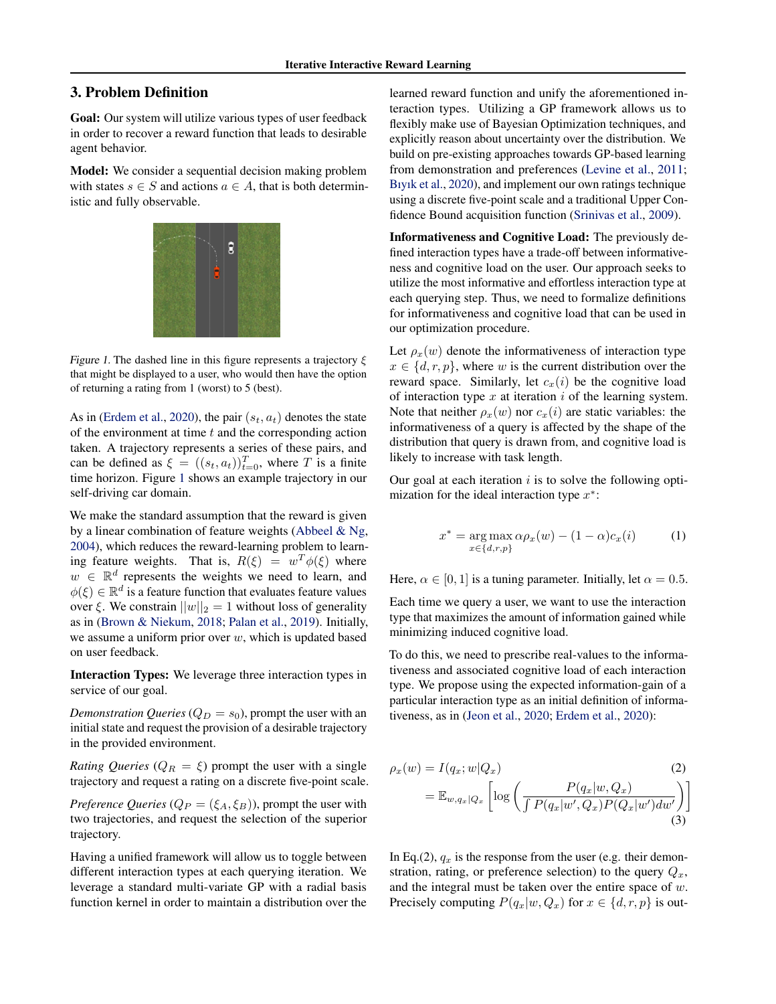# 3. Problem Definition

Goal: Our system will utilize various types of user feedback in order to recover a reward function that leads to desirable agent behavior.

Model: We consider a sequential decision making problem with states  $s \in S$  and actions  $a \in A$ , that is both deterministic and fully observable.



Figure 1. The dashed line in this figure represents a trajectory  $\xi$ that might be displayed to a user, who would then have the option of returning a rating from 1 (worst) to 5 (best).

As in [\(Erdem et al.,](#page-4-0) [2020\)](#page-4-0), the pair  $(s_t, a_t)$  denotes the state of the environment at time  $t$  and the corresponding action taken. A trajectory represents a series of these pairs, and can be defined as  $\xi = ((s_t, a_t))_{t=0}^T$ , where T is a finite time horizon. Figure 1 shows an example trajectory in our self-driving car domain.

We make the standard assumption that the reward is given by a linear combination of feature weights [\(Abbeel & Ng,](#page-3-0) [2004\)](#page-3-0), which reduces the reward-learning problem to learning feature weights. That is,  $R(\xi) = w^T \phi(\xi)$  where  $w \in \mathbb{R}^d$  represents the weights we need to learn, and  $\phi(\xi) \in \mathbb{R}^d$  is a feature function that evaluates feature values over  $\xi$ . We constrain  $||w||_2 = 1$  without loss of generality as in [\(Brown & Niekum,](#page-4-0) [2018;](#page-4-0) [Palan et al.,](#page-4-0) [2019\)](#page-4-0). Initially, we assume a uniform prior over  $w$ , which is updated based on user feedback.

Interaction Types: We leverage three interaction types in service of our goal.

*Demonstration Queries* ( $Q_D = s_0$ ), prompt the user with an initial state and request the provision of a desirable trajectory in the provided environment.

*Rating Queries* ( $Q_R = \xi$ ) prompt the user with a single trajectory and request a rating on a discrete five-point scale.

*Preference Queries* ( $Q_P = (\xi_A, \xi_B)$ ), prompt the user with two trajectories, and request the selection of the superior trajectory.

Having a unified framework will allow us to toggle between different interaction types at each querying iteration. We leverage a standard multi-variate GP with a radial basis function kernel in order to maintain a distribution over the

learned reward function and unify the aforementioned interaction types. Utilizing a GP framework allows us to flexibly make use of Bayesian Optimization techniques, and explicitly reason about uncertainty over the distribution. We build on pre-existing approaches towards GP-based learning from demonstration and preferences [\(Levine et al.,](#page-4-0) [2011;](#page-4-0) [Bıyık et al.,](#page-4-0) [2020\)](#page-4-0), and implement our own ratings technique using a discrete five-point scale and a traditional Upper Confidence Bound acquisition function [\(Srinivas et al.,](#page-4-0) [2009\)](#page-4-0).

Informativeness and Cognitive Load: The previously defined interaction types have a trade-off between informativeness and cognitive load on the user. Our approach seeks to utilize the most informative and effortless interaction type at each querying step. Thus, we need to formalize definitions for informativeness and cognitive load that can be used in our optimization procedure.

Let  $\rho_x(w)$  denote the informativeness of interaction type  $x \in \{d, r, p\}$ , where w is the current distribution over the reward space. Similarly, let  $c_x(i)$  be the cognitive load of interaction type  $x$  at iteration  $i$  of the learning system. Note that neither  $\rho_x(w)$  nor  $c_x(i)$  are static variables: the informativeness of a query is affected by the shape of the distribution that query is drawn from, and cognitive load is likely to increase with task length.

Our goal at each iteration  $i$  is to solve the following optimization for the ideal interaction type  $x^*$ :

$$
x^* = \underset{x \in \{d,r,p\}}{\arg \max} \alpha \rho_x(w) - (1 - \alpha) c_x(i) \tag{1}
$$

Here,  $\alpha \in [0, 1]$  is a tuning parameter. Initially, let  $\alpha = 0.5$ .

Each time we query a user, we want to use the interaction type that maximizes the amount of information gained while minimizing induced cognitive load.

To do this, we need to prescribe real-values to the informativeness and associated cognitive load of each interaction type. We propose using the expected information-gain of a particular interaction type as an initial definition of informativeness, as in [\(Jeon et al.,](#page-4-0) [2020;](#page-4-0) [Erdem et al.,](#page-4-0) [2020\)](#page-4-0):

$$
\rho_x(w) = I(q_x; w|Q_x)
$$
\n
$$
= \mathbb{E}_{w,q_x|Q_x} \left[ \log \left( \frac{P(q_x|w,Q_x)}{\int P(q_x|w',Q_x)P(Q_x|w')dw'} \right) \right]
$$
\n(3)

In Eq.(2),  $q_x$  is the response from the user (e.g. their demonstration, rating, or preference selection) to the query  $Q_x$ , and the integral must be taken over the entire space of  $w$ . Precisely computing  $P(q_x|w, Q_x)$  for  $x \in \{d, r, p\}$  is out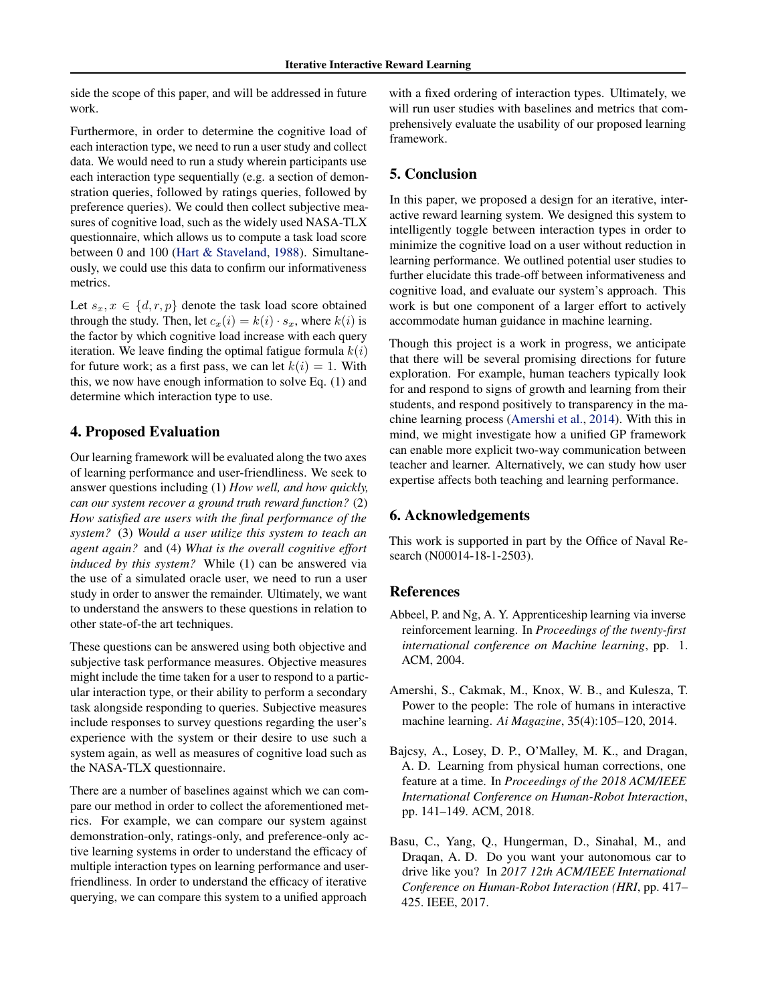<span id="page-3-0"></span>side the scope of this paper, and will be addressed in future work.

Furthermore, in order to determine the cognitive load of each interaction type, we need to run a user study and collect data. We would need to run a study wherein participants use each interaction type sequentially (e.g. a section of demonstration queries, followed by ratings queries, followed by preference queries). We could then collect subjective measures of cognitive load, such as the widely used NASA-TLX questionnaire, which allows us to compute a task load score between 0 and 100 [\(Hart & Staveland,](#page-4-0) [1988\)](#page-4-0). Simultaneously, we could use this data to confirm our informativeness metrics.

Let  $s_x, x \in \{d, r, p\}$  denote the task load score obtained through the study. Then, let  $c_x(i) = k(i) \cdot s_x$ , where  $k(i)$  is the factor by which cognitive load increase with each query iteration. We leave finding the optimal fatigue formula  $k(i)$ for future work; as a first pass, we can let  $k(i) = 1$ . With this, we now have enough information to solve Eq. (1) and determine which interaction type to use.

## 4. Proposed Evaluation

Our learning framework will be evaluated along the two axes of learning performance and user-friendliness. We seek to answer questions including (1) *How well, and how quickly, can our system recover a ground truth reward function?* (2) *How satisfied are users with the final performance of the system?* (3) *Would a user utilize this system to teach an agent again?* and (4) *What is the overall cognitive effort induced by this system?* While (1) can be answered via the use of a simulated oracle user, we need to run a user study in order to answer the remainder. Ultimately, we want to understand the answers to these questions in relation to other state-of-the art techniques.

These questions can be answered using both objective and subjective task performance measures. Objective measures might include the time taken for a user to respond to a particular interaction type, or their ability to perform a secondary task alongside responding to queries. Subjective measures include responses to survey questions regarding the user's experience with the system or their desire to use such a system again, as well as measures of cognitive load such as the NASA-TLX questionnaire.

There are a number of baselines against which we can compare our method in order to collect the aforementioned metrics. For example, we can compare our system against demonstration-only, ratings-only, and preference-only active learning systems in order to understand the efficacy of multiple interaction types on learning performance and userfriendliness. In order to understand the efficacy of iterative querying, we can compare this system to a unified approach

with a fixed ordering of interaction types. Ultimately, we will run user studies with baselines and metrics that comprehensively evaluate the usability of our proposed learning framework.

# 5. Conclusion

In this paper, we proposed a design for an iterative, interactive reward learning system. We designed this system to intelligently toggle between interaction types in order to minimize the cognitive load on a user without reduction in learning performance. We outlined potential user studies to further elucidate this trade-off between informativeness and cognitive load, and evaluate our system's approach. This work is but one component of a larger effort to actively accommodate human guidance in machine learning.

Though this project is a work in progress, we anticipate that there will be several promising directions for future exploration. For example, human teachers typically look for and respond to signs of growth and learning from their students, and respond positively to transparency in the machine learning process (Amershi et al., 2014). With this in mind, we might investigate how a unified GP framework can enable more explicit two-way communication between teacher and learner. Alternatively, we can study how user expertise affects both teaching and learning performance.

### 6. Acknowledgements

This work is supported in part by the Office of Naval Research (N00014-18-1-2503).

#### References

- Abbeel, P. and Ng, A. Y. Apprenticeship learning via inverse reinforcement learning. In *Proceedings of the twenty-first international conference on Machine learning*, pp. 1. ACM, 2004.
- Amershi, S., Cakmak, M., Knox, W. B., and Kulesza, T. Power to the people: The role of humans in interactive machine learning. *Ai Magazine*, 35(4):105–120, 2014.
- Bajcsy, A., Losey, D. P., O'Malley, M. K., and Dragan, A. D. Learning from physical human corrections, one feature at a time. In *Proceedings of the 2018 ACM/IEEE International Conference on Human-Robot Interaction*, pp. 141–149. ACM, 2018.
- Basu, C., Yang, Q., Hungerman, D., Sinahal, M., and Draqan, A. D. Do you want your autonomous car to drive like you? In *2017 12th ACM/IEEE International Conference on Human-Robot Interaction (HRI*, pp. 417– 425. IEEE, 2017.